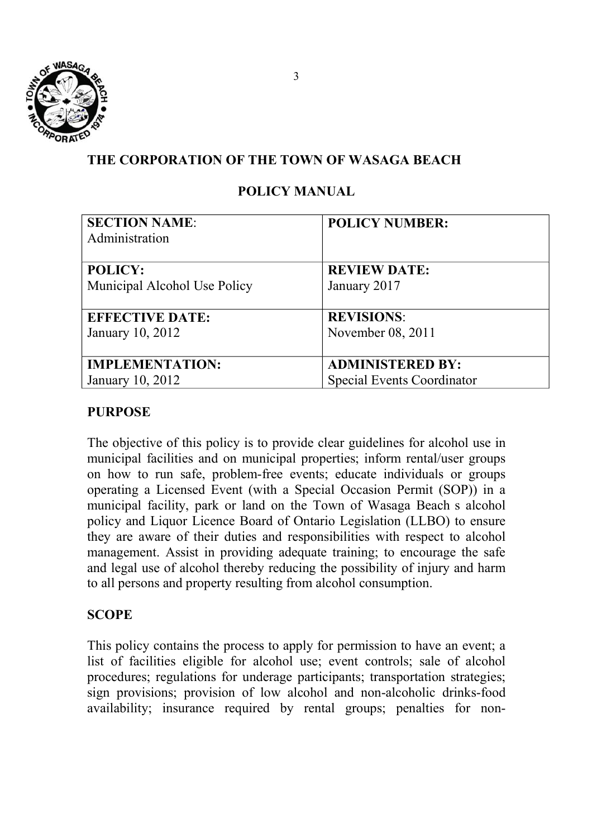

# **THE CORPORATION OF THE TOWN OF WASAGA BEACH**

# **POLICY MANUAL**

| <b>SECTION NAME:</b>         | <b>POLICY NUMBER:</b>             |
|------------------------------|-----------------------------------|
| Administration               |                                   |
| <b>POLICY:</b>               | <b>REVIEW DATE:</b>               |
| Municipal Alcohol Use Policy | January 2017                      |
|                              |                                   |
| <b>EFFECTIVE DATE:</b>       | <b>REVISIONS:</b>                 |
| January 10, 2012             | November 08, 2011                 |
|                              |                                   |
| <b>IMPLEMENTATION:</b>       | <b>ADMINISTERED BY:</b>           |
| January 10, 2012             | <b>Special Events Coordinator</b> |

## **PURPOSE**

The objective of this policy is to provide clear guidelines for alcohol use in municipal facilities and on municipal properties; inform rental/user groups on how to run safe, problem-free events; educate individuals or groups operating a Licensed Event (with a Special Occasion Permit (SOP)) in a municipal facility, park or land on the Town of Wasaga Beach s alcohol policy and Liquor Licence Board of Ontario Legislation (LLBO) to ensure they are aware of their duties and responsibilities with respect to alcohol management. Assist in providing adequate training; to encourage the safe and legal use of alcohol thereby reducing the possibility of injury and harm to all persons and property resulting from alcohol consumption.

## **SCOPE**

This policy contains the process to apply for permission to have an event; a list of facilities eligible for alcohol use; event controls; sale of alcohol procedures; regulations for underage participants; transportation strategies; sign provisions; provision of low alcohol and non-alcoholic drinks-food availability; insurance required by rental groups; penalties for non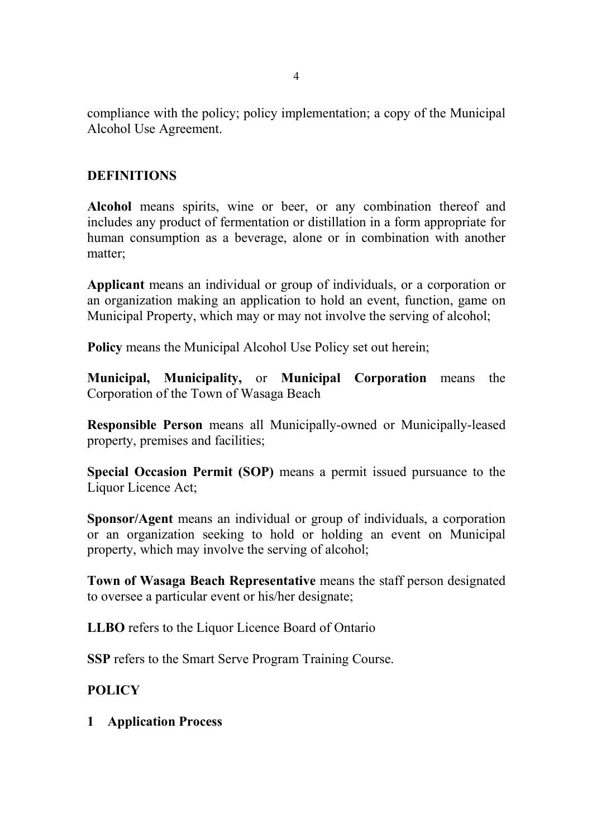compliance with the policy; policy implementation; a copy of the Municipal Alcohol Use Agreement.

# **DEFINITIONS**

**Alcohol** means spirits, wine or beer, or any combination thereof and includes any product of fermentation or distillation in a form appropriate for human consumption as a beverage, alone or in combination with another matter;

**Applicant** means an individual or group of individuals, or a corporation or an organization making an application to hold an event, function, game on Municipal Property, which may or may not involve the serving of alcohol;

**Policy** means the Municipal Alcohol Use Policy set out herein;

**Municipal, Municipality,** or **Municipal Corporation** means the Corporation of the Town of Wasaga Beach

**Responsible Person** means all Municipally-owned or Municipally-leased property, premises and facilities;

**Special Occasion Permit (SOP)** means a permit issued pursuance to the Liquor Licence Act;

**Sponsor/Agent** means an individual or group of individuals, a corporation or an organization seeking to hold or holding an event on Municipal property, which may involve the serving of alcohol;

**Town of Wasaga Beach Representative** means the staff person designated to oversee a particular event or his/her designate;

**LLBO** refers to the Liquor Licence Board of Ontario

**SSP** refers to the Smart Serve Program Training Course.

# **POLICY**

**1 Application Process**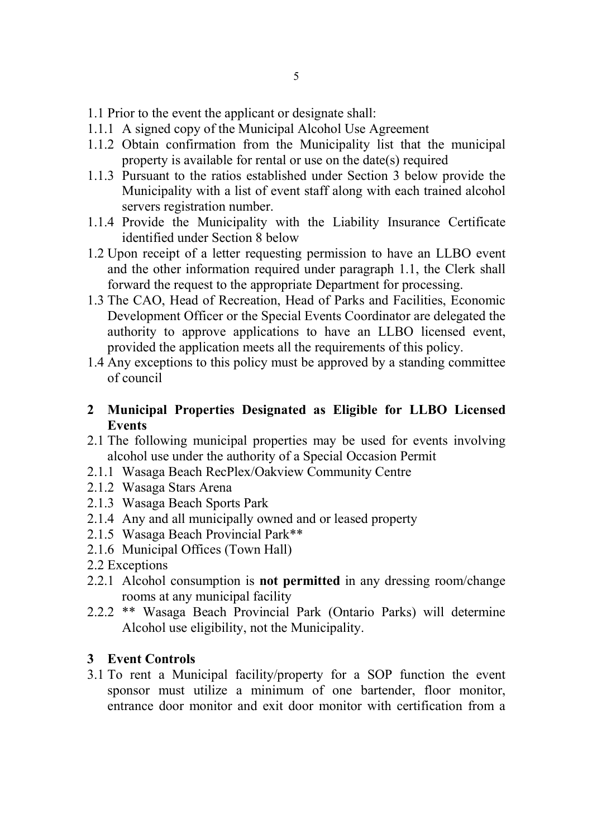- 1.1 Prior to the event the applicant or designate shall:
- 1.1.1 A signed copy of the Municipal Alcohol Use Agreement
- 1.1.2 Obtain confirmation from the Municipality list that the municipal property is available for rental or use on the date(s) required
- 1.1.3 Pursuant to the ratios established under Section 3 below provide the Municipality with a list of event staff along with each trained alcohol servers registration number.
- 1.1.4 Provide the Municipality with the Liability Insurance Certificate identified under Section 8 below
- 1.2 Upon receipt of a letter requesting permission to have an LLBO event and the other information required under paragraph 1.1, the Clerk shall forward the request to the appropriate Department for processing.
- 1.3 The CAO, Head of Recreation, Head of Parks and Facilities, Economic Development Officer or the Special Events Coordinator are delegated the authority to approve applications to have an LLBO licensed event, provided the application meets all the requirements of this policy.
- 1.4 Any exceptions to this policy must be approved by a standing committee of council
- **2 Municipal Properties Designated as Eligible for LLBO Licensed Events**
- 2.1 The following municipal properties may be used for events involving alcohol use under the authority of a Special Occasion Permit
- 2.1.1 Wasaga Beach RecPlex/Oakview Community Centre
- 2.1.2 Wasaga Stars Arena
- 2.1.3 Wasaga Beach Sports Park
- 2.1.4 Any and all municipally owned and or leased property
- 2.1.5 Wasaga Beach Provincial Park\*\*
- 2.1.6 Municipal Offices (Town Hall)
- 2.2 Exceptions
- 2.2.1 Alcohol consumption is **not permitted** in any dressing room/change rooms at any municipal facility
- 2.2.2 \*\* Wasaga Beach Provincial Park (Ontario Parks) will determine Alcohol use eligibility, not the Municipality.

## **3 Event Controls**

3.1 To rent a Municipal facility/property for a SOP function the event sponsor must utilize a minimum of one bartender, floor monitor, entrance door monitor and exit door monitor with certification from a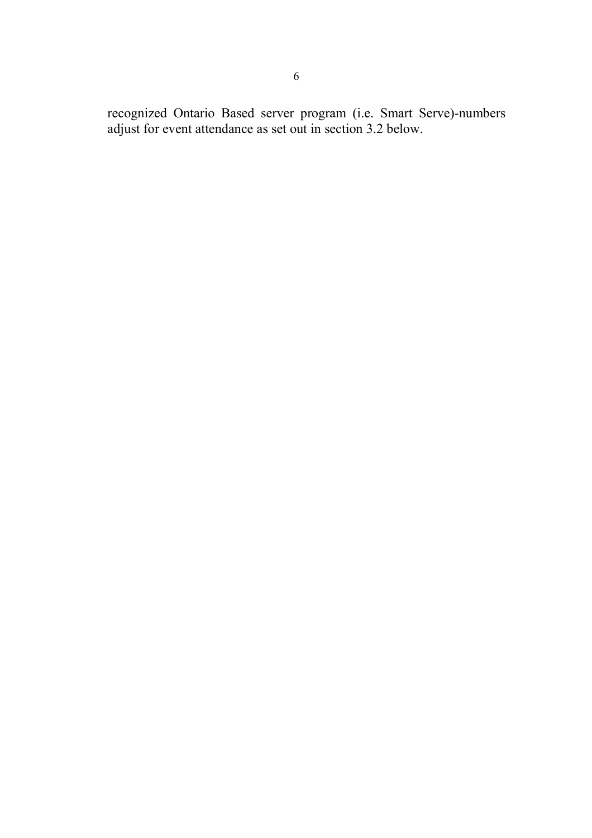recognized Ontario Based server program (i.e. Smart Serve)-numbers adjust for event attendance as set out in section 3.2 below.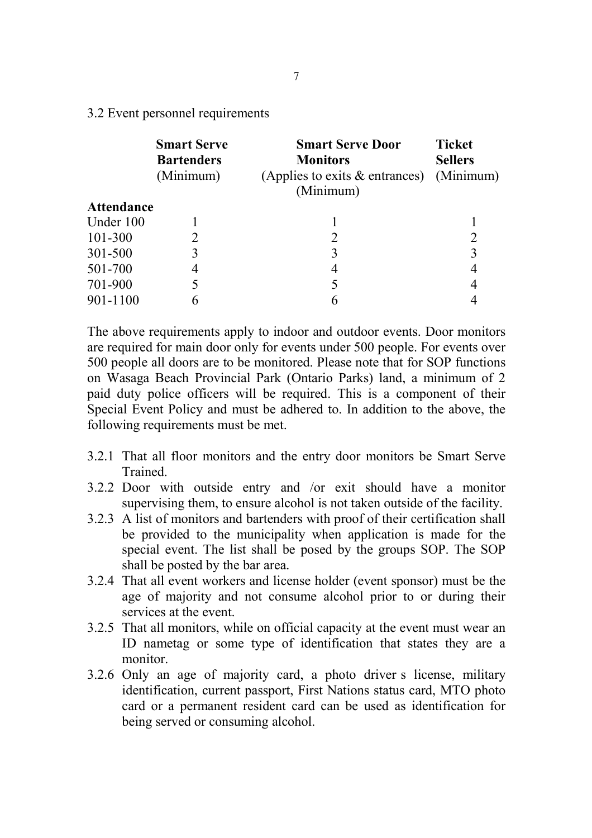3.2 Event personnel requirements

|                   | <b>Smart Serve</b><br><b>Bartenders</b><br>(Minimum) | <b>Smart Serve Door</b><br><b>Monitors</b><br>(Applies to exits $\&$ entrances)<br>(Minimum) | <b>Ticket</b><br><b>Sellers</b><br>(Minimum) |
|-------------------|------------------------------------------------------|----------------------------------------------------------------------------------------------|----------------------------------------------|
| <b>Attendance</b> |                                                      |                                                                                              |                                              |
| Under 100         |                                                      |                                                                                              |                                              |
| 101-300           |                                                      |                                                                                              | 2                                            |
| 301-500           |                                                      | 3                                                                                            | 3                                            |
| 501-700           |                                                      | 4                                                                                            | 4                                            |
| 701-900           |                                                      |                                                                                              | 4                                            |
| 901-1100          |                                                      |                                                                                              |                                              |

The above requirements apply to indoor and outdoor events. Door monitors are required for main door only for events under 500 people. For events over 500 people all doors are to be monitored. Please note that for SOP functions on Wasaga Beach Provincial Park (Ontario Parks) land, a minimum of 2 paid duty police officers will be required. This is a component of their Special Event Policy and must be adhered to. In addition to the above, the following requirements must be met.

- 3.2.1 That all floor monitors and the entry door monitors be Smart Serve Trained.
- 3.2.2 Door with outside entry and /or exit should have a monitor supervising them, to ensure alcohol is not taken outside of the facility.
- 3.2.3 A list of monitors and bartenders with proof of their certification shall be provided to the municipality when application is made for the special event. The list shall be posed by the groups SOP. The SOP shall be posted by the bar area.
- 3.2.4 That all event workers and license holder (event sponsor) must be the age of majority and not consume alcohol prior to or during their services at the event.
- 3.2.5 That all monitors, while on official capacity at the event must wear an ID nametag or some type of identification that states they are a monitor.
- 3.2.6 Only an age of majority card, a photo driver s license, military identification, current passport, First Nations status card, MTO photo card or a permanent resident card can be used as identification for being served or consuming alcohol.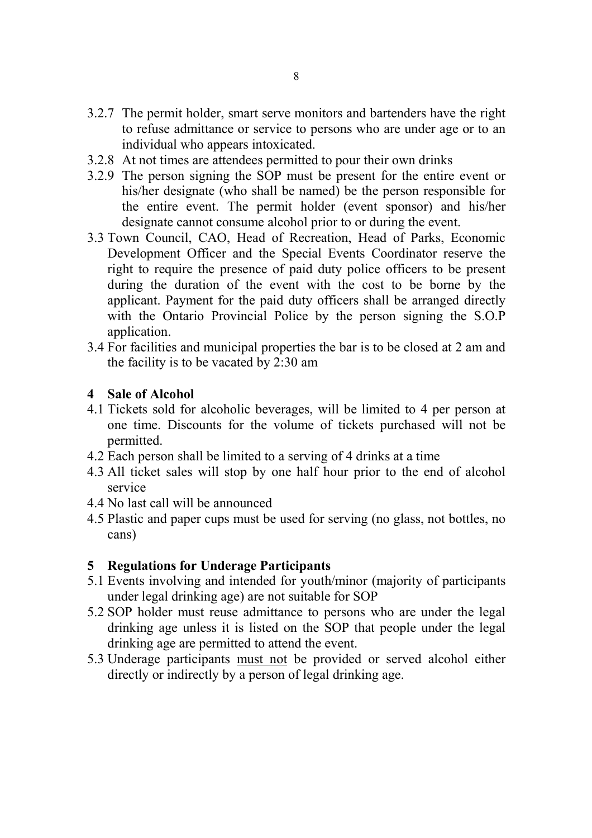- 3.2.7 The permit holder, smart serve monitors and bartenders have the right to refuse admittance or service to persons who are under age or to an individual who appears intoxicated.
- 3.2.8 At not times are attendees permitted to pour their own drinks
- 3.2.9 The person signing the SOP must be present for the entire event or his/her designate (who shall be named) be the person responsible for the entire event. The permit holder (event sponsor) and his/her designate cannot consume alcohol prior to or during the event.
- 3.3 Town Council, CAO, Head of Recreation, Head of Parks, Economic Development Officer and the Special Events Coordinator reserve the right to require the presence of paid duty police officers to be present during the duration of the event with the cost to be borne by the applicant. Payment for the paid duty officers shall be arranged directly with the Ontario Provincial Police by the person signing the S.O.P application.
- 3.4 For facilities and municipal properties the bar is to be closed at 2 am and the facility is to be vacated by 2:30 am

## **4 Sale of Alcohol**

- 4.1 Tickets sold for alcoholic beverages, will be limited to 4 per person at one time. Discounts for the volume of tickets purchased will not be permitted.
- 4.2 Each person shall be limited to a serving of 4 drinks at a time
- 4.3 All ticket sales will stop by one half hour prior to the end of alcohol service
- 4.4 No last call will be announced
- 4.5 Plastic and paper cups must be used for serving (no glass, not bottles, no cans)

## **5 Regulations for Underage Participants**

- 5.1 Events involving and intended for youth/minor (majority of participants under legal drinking age) are not suitable for SOP
- 5.2 SOP holder must reuse admittance to persons who are under the legal drinking age unless it is listed on the SOP that people under the legal drinking age are permitted to attend the event.
- 5.3 Underage participants must not be provided or served alcohol either directly or indirectly by a person of legal drinking age.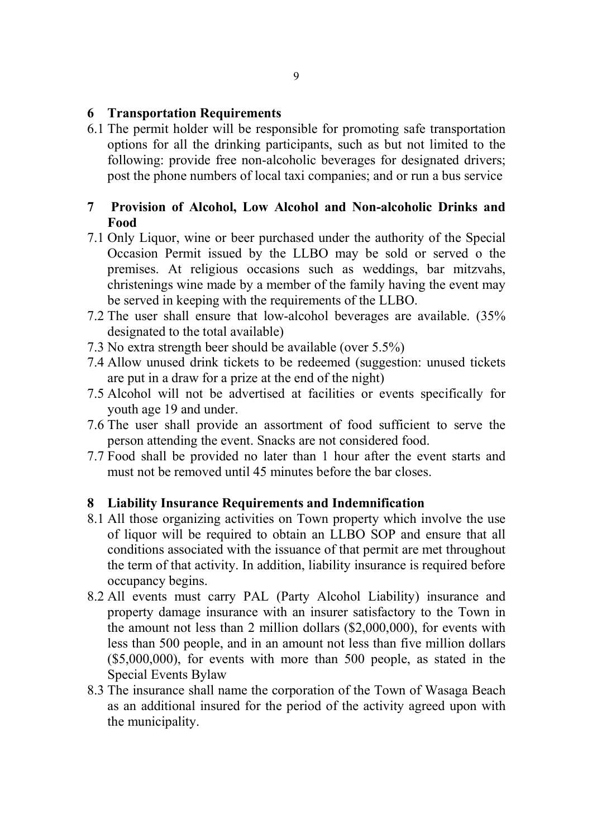#### **6 Transportation Requirements**

6.1 The permit holder will be responsible for promoting safe transportation options for all the drinking participants, such as but not limited to the following: provide free non-alcoholic beverages for designated drivers; post the phone numbers of local taxi companies; and or run a bus service

## **7 Provision of Alcohol, Low Alcohol and Non-alcoholic Drinks and Food**

- 7.1 Only Liquor, wine or beer purchased under the authority of the Special Occasion Permit issued by the LLBO may be sold or served o the premises. At religious occasions such as weddings, bar mitzvahs, christenings wine made by a member of the family having the event may be served in keeping with the requirements of the LLBO.
- 7.2 The user shall ensure that low-alcohol beverages are available. (35% designated to the total available)
- 7.3 No extra strength beer should be available (over 5.5%)
- 7.4 Allow unused drink tickets to be redeemed (suggestion: unused tickets are put in a draw for a prize at the end of the night)
- 7.5 Alcohol will not be advertised at facilities or events specifically for youth age 19 and under.
- 7.6 The user shall provide an assortment of food sufficient to serve the person attending the event. Snacks are not considered food.
- 7.7 Food shall be provided no later than 1 hour after the event starts and must not be removed until 45 minutes before the bar closes.

## **8 Liability Insurance Requirements and Indemnification**

- 8.1 All those organizing activities on Town property which involve the use of liquor will be required to obtain an LLBO SOP and ensure that all conditions associated with the issuance of that permit are met throughout the term of that activity. In addition, liability insurance is required before occupancy begins.
- 8.2 All events must carry PAL (Party Alcohol Liability) insurance and property damage insurance with an insurer satisfactory to the Town in the amount not less than 2 million dollars (\$2,000,000), for events with less than 500 people, and in an amount not less than five million dollars (\$5,000,000), for events with more than 500 people, as stated in the Special Events Bylaw
- 8.3 The insurance shall name the corporation of the Town of Wasaga Beach as an additional insured for the period of the activity agreed upon with the municipality.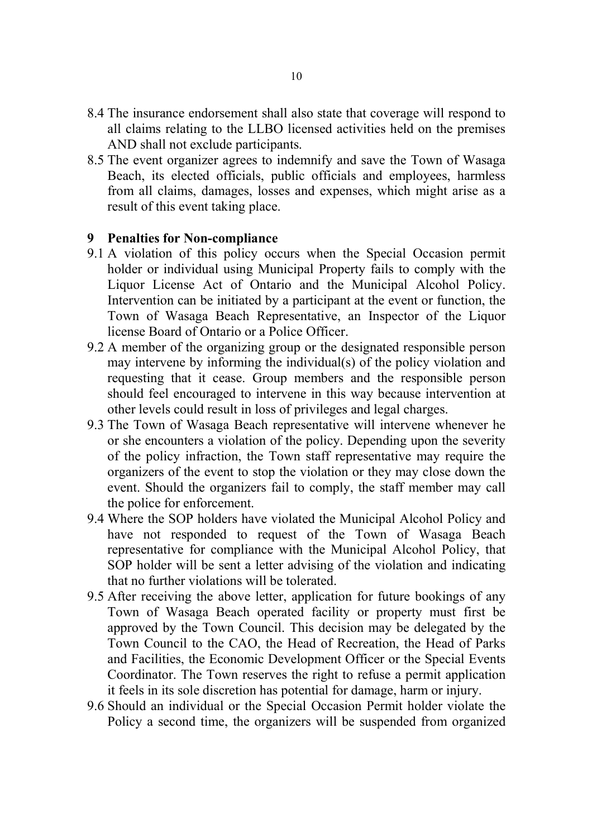- 8.4 The insurance endorsement shall also state that coverage will respond to all claims relating to the LLBO licensed activities held on the premises AND shall not exclude participants.
- 8.5 The event organizer agrees to indemnify and save the Town of Wasaga Beach, its elected officials, public officials and employees, harmless from all claims, damages, losses and expenses, which might arise as a result of this event taking place.

#### **9 Penalties for Non-compliance**

- 9.1 A violation of this policy occurs when the Special Occasion permit holder or individual using Municipal Property fails to comply with the Liquor License Act of Ontario and the Municipal Alcohol Policy. Intervention can be initiated by a participant at the event or function, the Town of Wasaga Beach Representative, an Inspector of the Liquor license Board of Ontario or a Police Officer.
- 9.2 A member of the organizing group or the designated responsible person may intervene by informing the individual(s) of the policy violation and requesting that it cease. Group members and the responsible person should feel encouraged to intervene in this way because intervention at other levels could result in loss of privileges and legal charges.
- 9.3 The Town of Wasaga Beach representative will intervene whenever he or she encounters a violation of the policy. Depending upon the severity of the policy infraction, the Town staff representative may require the organizers of the event to stop the violation or they may close down the event. Should the organizers fail to comply, the staff member may call the police for enforcement.
- 9.4 Where the SOP holders have violated the Municipal Alcohol Policy and have not responded to request of the Town of Wasaga Beach representative for compliance with the Municipal Alcohol Policy, that SOP holder will be sent a letter advising of the violation and indicating that no further violations will be tolerated.
- 9.5 After receiving the above letter, application for future bookings of any Town of Wasaga Beach operated facility or property must first be approved by the Town Council. This decision may be delegated by the Town Council to the CAO, the Head of Recreation, the Head of Parks and Facilities, the Economic Development Officer or the Special Events Coordinator. The Town reserves the right to refuse a permit application it feels in its sole discretion has potential for damage, harm or injury.
- 9.6 Should an individual or the Special Occasion Permit holder violate the Policy a second time, the organizers will be suspended from organized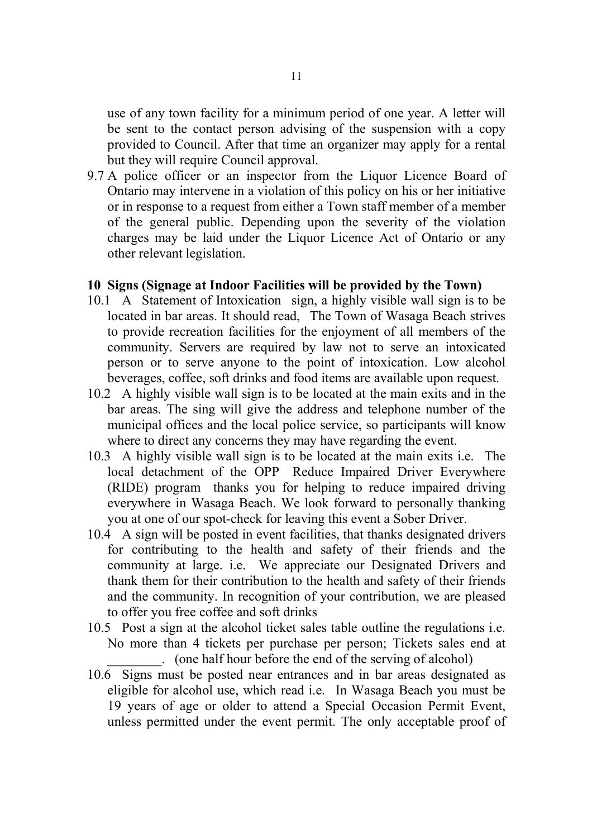use of any town facility for a minimum period of one year. A letter will be sent to the contact person advising of the suspension with a copy provided to Council. After that time an organizer may apply for a rental but they will require Council approval.

9.7 A police officer or an inspector from the Liquor Licence Board of Ontario may intervene in a violation of this policy on his or her initiative or in response to a request from either a Town staff member of a member of the general public. Depending upon the severity of the violation charges may be laid under the Liquor Licence Act of Ontario or any other relevant legislation.

#### **10 Signs (Signage at Indoor Facilities will be provided by the Town)**

- 10.1 A Statement of Intoxication sign, a highly visible wall sign is to be located in bar areas. It should read, The Town of Wasaga Beach strives to provide recreation facilities for the enjoyment of all members of the community. Servers are required by law not to serve an intoxicated person or to serve anyone to the point of intoxication. Low alcohol beverages, coffee, soft drinks and food items are available upon request.
- 10.2 A highly visible wall sign is to be located at the main exits and in the bar areas. The sing will give the address and telephone number of the municipal offices and the local police service, so participants will know where to direct any concerns they may have regarding the event.
- 10.3 A highly visible wall sign is to be located at the main exits i.e. The local detachment of the OPP Reduce Impaired Driver Everywhere (RIDE) program thanks you for helping to reduce impaired driving everywhere in Wasaga Beach. We look forward to personally thanking you at one of our spot-check for leaving this event a Sober Driver.
- 10.4 A sign will be posted in event facilities, that thanks designated drivers for contributing to the health and safety of their friends and the community at large. i.e. We appreciate our Designated Drivers and thank them for their contribution to the health and safety of their friends and the community. In recognition of your contribution, we are pleased to offer you free coffee and soft drinks
- 10.5 Post a sign at the alcohol ticket sales table outline the regulations i.e. No more than 4 tickets per purchase per person; Tickets sales end at \_\_\_\_\_\_\_\_. (one half hour before the end of the serving of alcohol)
- 10.6 Signs must be posted near entrances and in bar areas designated as eligible for alcohol use, which read i.e. In Wasaga Beach you must be 19 years of age or older to attend a Special Occasion Permit Event, unless permitted under the event permit. The only acceptable proof of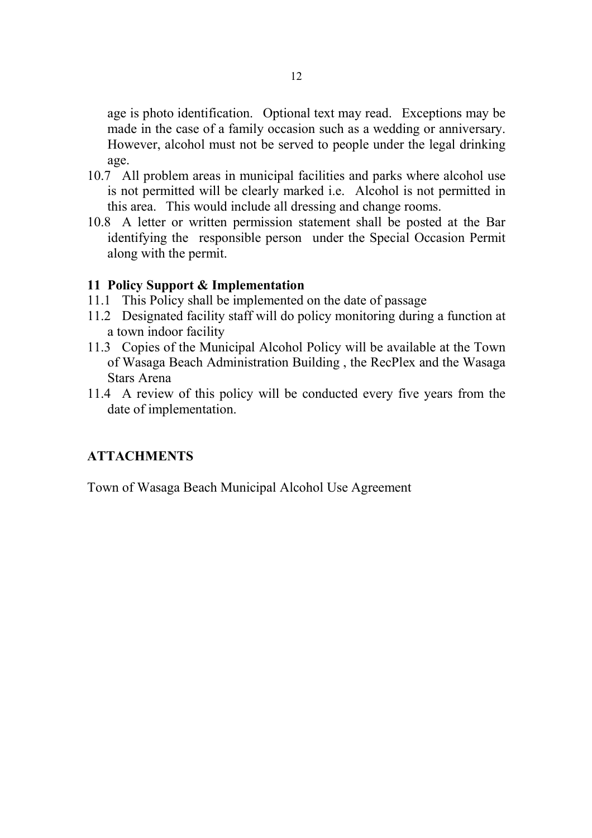age is photo identification. Optional text may read. Exceptions may be made in the case of a family occasion such as a wedding or anniversary. However, alcohol must not be served to people under the legal drinking age.

- 10.7 All problem areas in municipal facilities and parks where alcohol use is not permitted will be clearly marked i.e. Alcohol is not permitted in this area. This would include all dressing and change rooms.
- 10.8 A letter or written permission statement shall be posted at the Bar identifying the responsible person under the Special Occasion Permit along with the permit.

#### **11 Policy Support & Implementation**

- 11.1 This Policy shall be implemented on the date of passage
- 11.2 Designated facility staff will do policy monitoring during a function at a town indoor facility
- 11.3 Copies of the Municipal Alcohol Policy will be available at the Town of Wasaga Beach Administration Building , the RecPlex and the Wasaga Stars Arena
- 11.4 A review of this policy will be conducted every five years from the date of implementation.

## **ATTACHMENTS**

Town of Wasaga Beach Municipal Alcohol Use Agreement